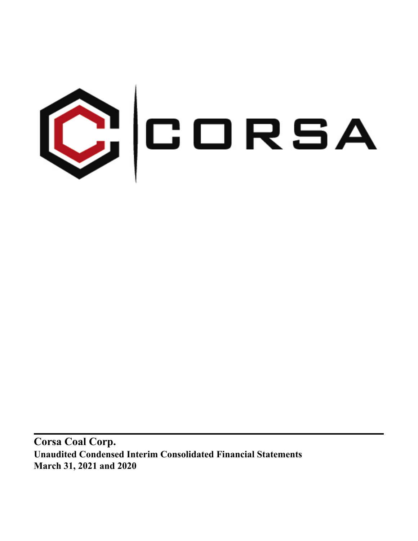

**Corsa Coal Corp. Unaudited Condensed Interim Consolidated Financial Statements March 31, 2021 and 2020**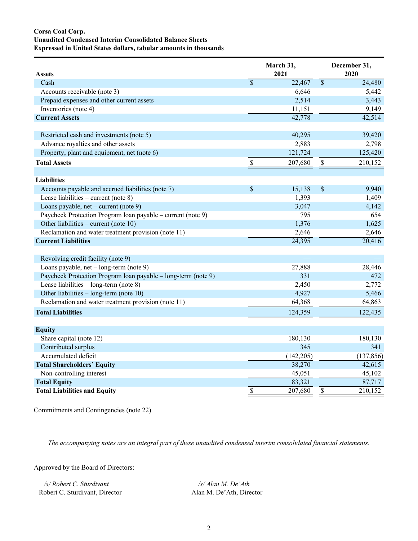# **Corsa Coal Corp. Unaudited Condensed Interim Consolidated Balance Sheets Expressed in United States dollars, tabular amounts in thousands**

| <b>Assets</b>                                                 |                           | March 31,<br>2021 |                          | December 31,<br>2020 |
|---------------------------------------------------------------|---------------------------|-------------------|--------------------------|----------------------|
| Cash                                                          | $\overline{\mathcal{S}}$  | 22,467            | $\overline{\mathcal{S}}$ | 24,480               |
| Accounts receivable (note 3)                                  |                           | 6,646             |                          | 5,442                |
| Prepaid expenses and other current assets                     |                           | 2,514             |                          | 3,443                |
| Inventories (note 4)                                          |                           | 11,151            |                          | 9,149                |
| <b>Current Assets</b>                                         |                           | 42,778            |                          | 42,514               |
| Restricted cash and investments (note 5)                      |                           | 40,295            |                          | 39,420               |
| Advance royalties and other assets                            |                           | 2,883             |                          | 2,798                |
| Property, plant and equipment, net (note 6)                   |                           | 121,724           |                          | 125,420              |
| <b>Total Assets</b>                                           | $\boldsymbol{\mathsf{S}}$ | 207,680           | $\mathbb{S}$             | 210,152              |
| <b>Liabilities</b>                                            |                           |                   |                          |                      |
| Accounts payable and accrued liabilities (note 7)             | \$                        | 15,138            | \$                       | 9,940                |
| Lease liabilities – current (note 8)                          |                           | 1,393             |                          | 1,409                |
| Loans payable, net – current (note 9)                         |                           | 3,047             |                          | 4,142                |
| Paycheck Protection Program Ioan payable – current (note 9)   |                           | 795               |                          | 654                  |
| Other liabilities – current (note 10)                         |                           | 1,376             |                          | 1,625                |
| Reclamation and water treatment provision (note 11)           |                           | 2,646             |                          | 2,646                |
| <b>Current Liabilities</b>                                    |                           | 24,395            |                          | 20,416               |
| Revolving credit facility (note 9)                            |                           |                   |                          |                      |
| Loans payable, net - long-term (note 9)                       |                           | 27,888            |                          | 28,446               |
| Paycheck Protection Program loan payable – long-term (note 9) |                           | 331               |                          | 472                  |
| Lease liabilities $-$ long-term (note 8)                      |                           | 2,450             |                          | 2,772                |
| Other liabilities – long-term (note 10)                       |                           | 4,927             |                          | 5,466                |
| Reclamation and water treatment provision (note 11)           |                           | 64,368            |                          | 64,863               |
| <b>Total Liabilities</b>                                      |                           | 124,359           |                          | 122,435              |
| <b>Equity</b>                                                 |                           |                   |                          |                      |
| Share capital (note 12)                                       |                           | 180,130           |                          | 180,130              |
| Contributed surplus                                           |                           | 345               |                          | 341                  |
| Accumulated deficit                                           |                           | (142, 205)        |                          | (137, 856)           |
| <b>Total Shareholders' Equity</b>                             |                           | 38,270            |                          | 42,615               |
| Non-controlling interest                                      |                           | 45,051            |                          | 45,102               |
| <b>Total Equity</b>                                           |                           | 83,321            |                          | 87,717               |
| <b>Total Liabilities and Equity</b>                           | $\overline{\$}$           | 207,680           | \$                       | 210,152              |

Commitments and Contingencies (note 22)

*The accompanying notes are an integral part of these unaudited condensed interim consolidated financial statements.*

Approved by the Board of Directors:

*/s/ Robert C. Sturdivant /s/ Alan M. De'Ath* 

Robert C. Sturdivant, Director Alan M. De'Ath, Director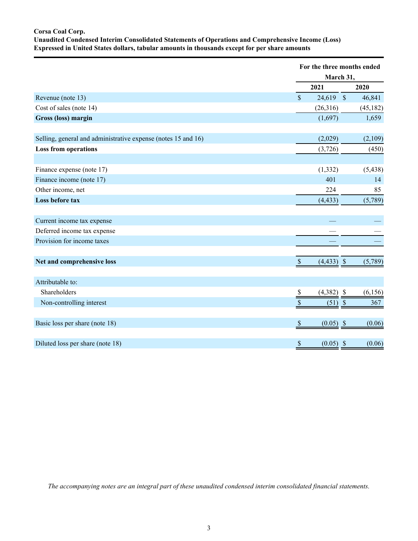# **Corsa Coal Corp. Unaudited Condensed Interim Consolidated Statements of Operations and Comprehensive Income (Loss) Expressed in United States dollars, tabular amounts in thousands except for per share amounts**

|                                                               |                                          | For the three months ended<br>March 31, |
|---------------------------------------------------------------|------------------------------------------|-----------------------------------------|
|                                                               | 2021                                     | 2020                                    |
| Revenue (note 13)                                             | $\mathsf{\$}$<br>$24,619$ \$             | 46,841                                  |
| Cost of sales (note 14)                                       | (26,316)                                 | (45, 182)                               |
| Gross (loss) margin                                           | (1,697)                                  | 1,659                                   |
| Selling, general and administrative expense (notes 15 and 16) | (2,029)                                  | (2,109)                                 |
| <b>Loss from operations</b>                                   | (3,726)                                  | (450)                                   |
|                                                               |                                          |                                         |
| Finance expense (note 17)                                     | (1, 332)                                 | (5, 438)                                |
| Finance income (note 17)                                      | 401                                      | 14                                      |
| Other income, net                                             | 224                                      | 85                                      |
| Loss before tax                                               | (4, 433)                                 | (5,789)                                 |
| Current income tax expense                                    |                                          |                                         |
| Deferred income tax expense                                   |                                          |                                         |
| Provision for income taxes                                    |                                          |                                         |
| Net and comprehensive loss                                    | $\mathcal{S}$<br>$(4,433)$ \$            | (5,789)                                 |
| Attributable to:                                              |                                          |                                         |
| Shareholders                                                  | $(4,382)$ \$<br>$\stackrel{\$}{=}$       | (6, 156)                                |
| Non-controlling interest                                      | \$<br>$(51)$ \$                          | 367                                     |
| Basic loss per share (note 18)                                | $\mathcal{S}$<br>$(0.05)$ \$             | (0.06)                                  |
| Diluted loss per share (note 18)                              | $(0.05)$ \$<br>$\boldsymbol{\mathsf{S}}$ | (0.06)                                  |

*The accompanying notes are an integral part of these unaudited condensed interim consolidated financial statements.*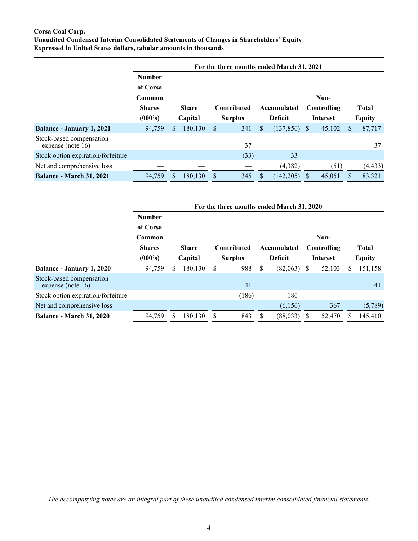# **Corsa Coal Corp. Unaudited Condensed Interim Consolidated Statements of Changes in Shareholders' Equity Expressed in United States dollars, tabular amounts in thousands**

|                                                  |                                                                                                                                    |   |                               |   |                                        |                               | For the three months ended March 31, 2021 |              |        |   |          |
|--------------------------------------------------|------------------------------------------------------------------------------------------------------------------------------------|---|-------------------------------|---|----------------------------------------|-------------------------------|-------------------------------------------|--------------|--------|---|----------|
|                                                  | <b>Number</b><br>of Corsa<br>Common<br><b>Shares</b><br><b>Share</b><br><b>Contributed</b><br>(000's)<br>Capital<br><b>Surplus</b> |   | Accumulated<br><b>Deficit</b> |   | Non-<br>Controlling<br><b>Interest</b> | <b>Total</b><br><b>Equity</b> |                                           |              |        |   |          |
| <b>Balance - January 1, 2021</b>                 | 94,759                                                                                                                             | S | 180,130                       | S | 341                                    | \$                            | (137, 856)                                | <sup>S</sup> | 45,102 | S | 87,717   |
| Stock-based compensation<br>expense (note $16$ ) |                                                                                                                                    |   |                               |   | 37                                     |                               |                                           |              |        |   | 37       |
| Stock option expiration/forfeiture               |                                                                                                                                    |   |                               |   | (33)                                   |                               | 33                                        |              |        |   |          |
| Net and comprehensive loss                       |                                                                                                                                    |   |                               |   |                                        |                               | (4, 382)                                  |              | (51)   |   | (4, 433) |
| <b>Balance - March 31, 2021</b>                  | 94,759                                                                                                                             |   | 180.130                       |   | 345                                    |                               | (142, 205)                                |              | 45,051 |   | 83,321   |

|                                                  |               |   |                           |                                   |       |                | For the three months ended March 31, 2020 |                 |               |              |         |  |
|--------------------------------------------------|---------------|---|---------------------------|-----------------------------------|-------|----------------|-------------------------------------------|-----------------|---------------|--------------|---------|--|
|                                                  | <b>Number</b> |   |                           |                                   |       |                |                                           |                 |               |              |         |  |
|                                                  | of Corsa      |   |                           |                                   |       |                |                                           |                 |               |              |         |  |
|                                                  | Common        |   |                           |                                   |       |                |                                           |                 | Non-          |              |         |  |
|                                                  | <b>Shares</b> |   | <b>Share</b>              | <b>Contributed</b><br>Accumulated |       |                |                                           |                 | Controlling   | <b>Total</b> |         |  |
|                                                  | (000's)       |   | <b>Surplus</b><br>Capital |                                   |       | <b>Deficit</b> |                                           | <b>Interest</b> | <b>Equity</b> |              |         |  |
| Balance - January 1, 2020                        | 94,759        | S | 180,130                   | S                                 | 988   | S              | (82,063)                                  | S               | 52,103        | S            | 151,158 |  |
| Stock-based compensation<br>expense (note $16$ ) |               |   |                           |                                   | 41    |                |                                           |                 |               |              | 41      |  |
| Stock option expiration/forfeiture               |               |   |                           |                                   | (186) |                | 186                                       |                 |               |              |         |  |
| Net and comprehensive loss                       |               |   |                           |                                   |       |                | (6,156)                                   |                 | 367           |              | (5,789) |  |
| <b>Balance - March 31, 2020</b>                  | 94,759        |   | 180,130                   |                                   | 843   |                | (88, 033)                                 |                 | 52,470        |              | 145,410 |  |

*The accompanying notes are an integral part of these unaudited condensed interim consolidated financial statements.*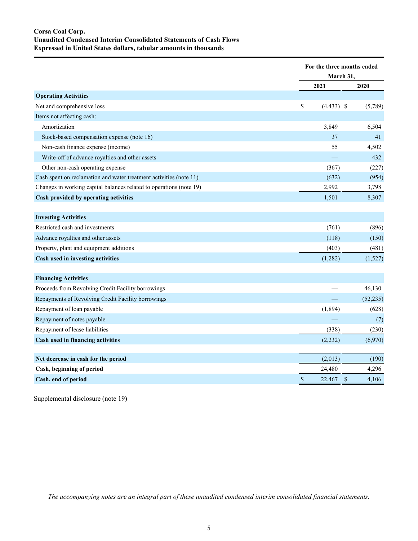# **Corsa Coal Corp. Unaudited Condensed Interim Consolidated Statements of Cash Flows Expressed in United States dollars, tabular amounts in thousands**

|                                                                     | For the three months ended |             |
|---------------------------------------------------------------------|----------------------------|-------------|
|                                                                     | March 31,                  |             |
|                                                                     | 2021                       | 2020        |
| <b>Operating Activities</b>                                         |                            |             |
| Net and comprehensive loss                                          | \$<br>$(4,433)$ \$         | (5,789)     |
| Items not affecting cash:                                           |                            |             |
| Amortization                                                        | 3,849                      | 6,504       |
| Stock-based compensation expense (note 16)                          | 37                         | 41          |
| Non-cash finance expense (income)                                   | 55                         | 4,502       |
| Write-off of advance royalties and other assets                     |                            | 432         |
| Other non-cash operating expense                                    | (367)                      | (227)       |
| Cash spent on reclamation and water treatment activities (note 11)  | (632)                      | (954)       |
| Changes in working capital balances related to operations (note 19) | 2,992                      | 3,798       |
| Cash provided by operating activities                               | 1,501                      | 8,307       |
|                                                                     |                            |             |
| <b>Investing Activities</b>                                         |                            |             |
| Restricted cash and investments                                     | (761)                      | (896)       |
| Advance royalties and other assets                                  | (118)                      | (150)       |
| Property, plant and equipment additions                             | (403)                      | (481)       |
| Cash used in investing activities                                   | (1,282)                    | (1,527)     |
|                                                                     |                            |             |
| <b>Financing Activities</b>                                         |                            |             |
| Proceeds from Revolving Credit Facility borrowings                  |                            | 46,130      |
| Repayments of Revolving Credit Facility borrowings                  |                            | (52, 235)   |
| Repayment of loan payable                                           | (1,894)                    | (628)       |
| Repayment of notes payable                                          |                            | (7)         |
| Repayment of lease liabilities                                      | (338)                      | (230)       |
| Cash used in financing activities                                   | (2, 232)                   | (6,970)     |
|                                                                     |                            |             |
| Net decrease in cash for the period                                 | (2,013)                    | (190)       |
| Cash, beginning of period                                           | 24,480                     | 4,296       |
| Cash, end of period                                                 | $\$$<br>22,467             | \$<br>4,106 |

Supplemental disclosure (note 19)

*The accompanying notes are an integral part of these unaudited condensed interim consolidated financial statements.*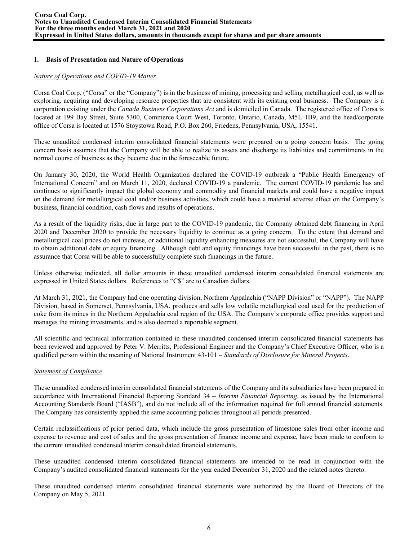# **1. Basis of Presentation and Nature of Operations**

#### *Nature of Operations and COVID-19 Matter*

Corsa Coal Corp. ("Corsa" or the "Company") is in the business of mining, processing and selling metallurgical coal, as well as exploring, acquiring and developing resource properties that are consistent with its existing coal business. The Company is a corporation existing under the *Canada Business Corporations Act* and is domiciled in Canada. The registered office of Corsa is located at 199 Bay Street, Suite 5300, Commerce Court West, Toronto, Ontario, Canada, M5L 1B9, and the head/corporate office of Corsa is located at 1576 Stoystown Road, P.O. Box 260, Friedens, Pennsylvania, USA, 15541.

These unaudited condensed interim consolidated financial statements were prepared on a going concern basis. The going concern basis assumes that the Company will be able to realize its assets and discharge its liabilities and commitments in the normal course of business as they become due in the foreseeable future.

On January 30, 2020, the World Health Organization declared the COVID-19 outbreak a "Public Health Emergency of International Concern" and on March 11, 2020, declared COVID-19 a pandemic. The current COVID-19 pandemic has and continues to significantly impact the global economy and commodity and financial markets and could have a negative impact on the demand for metallurgical coal and/or business activities, which could have a material adverse effect on the Company's business, financial condition, cash flows and results of operations.

As a result of the liquidity risks, due in large part to the COVID-19 pandemic, the Company obtained debt financing in April 2020 and December 2020 to provide the necessary liquidity to continue as a going concern. To the extent that demand and metallurgical coal prices do not increase, or additional liquidity enhancing measures are not successful, the Company will have to obtain additional debt or equity financing. Although debt and equity financings have been successful in the past, there is no assurance that Corsa will be able to successfully complete such financings in the future.

Unless otherwise indicated, all dollar amounts in these unaudited condensed interim consolidated financial statements are expressed in United States dollars. References to "C\$" are to Canadian dollars.

At March 31, 2021, the Company had one operating division, Northern Appalachia ("NAPP Division" or "NAPP"). The NAPP Division, based in Somerset, Pennsylvania, USA, produces and sells low volatile metallurgical coal used for the production of coke from its mines in the Northern Appalachia coal region of the USA. The Company's corporate office provides support and manages the mining investments, and is also deemed a reportable segment.

All scientific and technical information contained in these unaudited condensed interim consolidated financial statements has been reviewed and approved by Peter V. Merritts, Professional Engineer and the Company's Chief Executive Officer, who is a qualified person within the meaning of National Instrument 43-101 – *Standards of Disclosure for Mineral Projects*.

## *Statement of Compliance*

These unaudited condensed interim consolidated financial statements of the Company and its subsidiaries have been prepared in accordance with International Financial Reporting Standard 34 – *Interim Financial Reporting*, as issued by the International Accounting Standards Board ("IASB"), and do not include all of the information required for full annual financial statements. The Company has consistently applied the same accounting policies throughout all periods presented.

Certain reclassifications of prior period data, which include the gross presentation of limestone sales from other income and expense to revenue and cost of sales and the gross presentation of finance income and expense, have been made to conform to the current unaudited condensed interim consolidated financial statements.

These unaudited condensed interim consolidated financial statements are intended to be read in conjunction with the Company's audited consolidated financial statements for the year ended December 31, 2020 and the related notes thereto.

These unaudited condensed interim consolidated financial statements were authorized by the Board of Directors of the Company on May 5, 2021.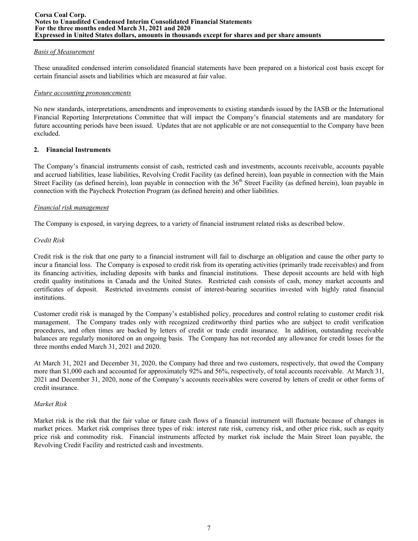#### *Basis of Measurement*

These unaudited condensed interim consolidated financial statements have been prepared on a historical cost basis except for certain financial assets and liabilities which are measured at fair value.

#### *Future accounting pronouncements*

No new standards, interpretations, amendments and improvements to existing standards issued by the IASB or the International Financial Reporting Interpretations Committee that will impact the Company's financial statements and are mandatory for future accounting periods have been issued. Updates that are not applicable or are not consequential to the Company have been excluded.

## **2. Financial Instruments**

The Company's financial instruments consist of cash, restricted cash and investments, accounts receivable, accounts payable and accrued liabilities, lease liabilities, Revolving Credit Facility (as defined herein), loan payable in connection with the Main Street Facility (as defined herein), loan payable in connection with the 36<sup>th</sup> Street Facility (as defined herein), loan payable in connection with the Paycheck Protection Program (as defined herein) and other liabilities.

#### *Financial risk management*

The Company is exposed, in varying degrees, to a variety of financial instrument related risks as described below.

#### *Credit Risk*

Credit risk is the risk that one party to a financial instrument will fail to discharge an obligation and cause the other party to incur a financial loss. The Company is exposed to credit risk from its operating activities (primarily trade receivables) and from its financing activities, including deposits with banks and financial institutions. These deposit accounts are held with high credit quality institutions in Canada and the United States. Restricted cash consists of cash, money market accounts and certificates of deposit. Restricted investments consist of interest-bearing securities invested with highly rated financial institutions.

Customer credit risk is managed by the Company's established policy, procedures and control relating to customer credit risk management. The Company trades only with recognized creditworthy third parties who are subject to credit verification procedures, and often times are backed by letters of credit or trade credit insurance. In addition, outstanding receivable balances are regularly monitored on an ongoing basis. The Company has not recorded any allowance for credit losses for the three months ended March 31, 2021 and 2020.

At March 31, 2021 and December 31, 2020, the Company had three and two customers, respectively, that owed the Company more than \$1,000 each and accounted for approximately 92% and 56%, respectively, of total accounts receivable. At March 31, 2021 and December 31, 2020, none of the Company's accounts receivables were covered by letters of credit or other forms of credit insurance.

## *Market Risk*

Market risk is the risk that the fair value or future cash flows of a financial instrument will fluctuate because of changes in market prices. Market risk comprises three types of risk: interest rate risk, currency risk, and other price risk, such as equity price risk and commodity risk. Financial instruments affected by market risk include the Main Street loan payable, the Revolving Credit Facility and restricted cash and investments.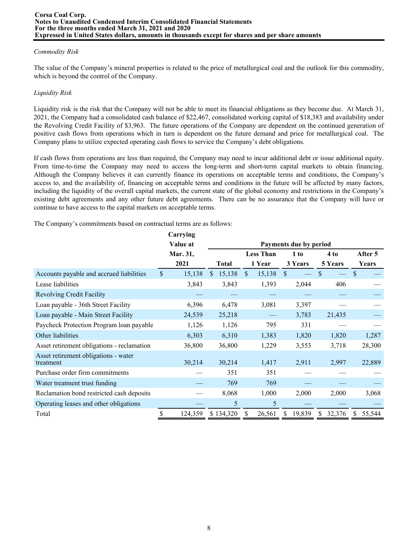## *Commodity Risk*

The value of the Company's mineral properties is related to the price of metallurgical coal and the outlook for this commodity, which is beyond the control of the Company.

# *Liquidity Risk*

Liquidity risk is the risk that the Company will not be able to meet its financial obligations as they become due. At March 31, 2021, the Company had a consolidated cash balance of \$22,467, consolidated working capital of \$18,383 and availability under the Revolving Credit Facility of \$3,963. The future operations of the Company are dependent on the continued generation of positive cash flows from operations which in turn is dependent on the future demand and price for metallurgical coal. The Company plans to utilize expected operating cash flows to service the Company's debt obligations.

If cash flows from operations are less than required, the Company may need to incur additional debt or issue additional equity. From time-to-time the Company may need to access the long-term and short-term capital markets to obtain financing. Although the Company believes it can currently finance its operations on acceptable terms and conditions, the Company's access to, and the availability of, financing on acceptable terms and conditions in the future will be affected by many factors, including the liquidity of the overall capital markets, the current state of the global economy and restrictions in the Company's existing debt agreements and any other future debt agreements. There can be no assurance that the Company will have or continue to have access to the capital markets on acceptable terms.

The Company's commitments based on contractual terms are as follows:

|                                                   | Carrying     |              |              |                  |              |                        |     |         |               |         |
|---------------------------------------------------|--------------|--------------|--------------|------------------|--------------|------------------------|-----|---------|---------------|---------|
|                                                   | Value at     |              |              |                  |              | Payments due by period |     |         |               |         |
|                                                   | Mar. 31,     |              |              | <b>Less Than</b> | 1 to         |                        |     | 4 to    |               | After 5 |
|                                                   | 2021         | <b>Total</b> |              | 1 Year           |              | 3 Years                |     | 5 Years |               | Years   |
| Accounts payable and accrued liabilities          | \$<br>15,138 | 15,138<br>S. | $\mathbb{S}$ | 15,138           | <sup>S</sup> |                        | \$  |         | <sup>\$</sup> |         |
| Lease liabilities                                 | 3,843        | 3,843        |              | 1,393            |              | 2,044                  |     | 406     |               |         |
| <b>Revolving Credit Facility</b>                  |              |              |              |                  |              |                        |     |         |               |         |
| Loan payable - 36th Street Facility               | 6,396        | 6,478        |              | 3,081            |              | 3,397                  |     |         |               |         |
| Loan payable - Main Street Facility               | 24,539       | 25,218       |              |                  |              | 3,783                  |     | 21,435  |               |         |
| Paycheck Protection Program loan payable          | 1,126        | 1,126        |              | 795              |              | 331                    |     |         |               |         |
| Other liabilities                                 | 6,303        | 6,310        |              | 1,383            |              | 1,820                  |     | 1,820   |               | 1,287   |
| Asset retirement obligations - reclamation        | 36,800       | 36,800       |              | 1,229            |              | 3,553                  |     | 3,718   |               | 28,300  |
| Asset retirement obligations - water<br>treatment | 30,214       | 30,214       |              | 1,417            |              | 2,911                  |     | 2,997   |               | 22,889  |
| Purchase order firm commitments                   |              | 351          |              | 351              |              |                        |     |         |               |         |
| Water treatment trust funding                     |              | 769          |              | 769              |              |                        |     |         |               |         |
| Reclamation bond restricted cash deposits         |              | 8,068        |              | 1,000            |              | 2,000                  |     | 2,000   |               | 3,068   |
| Operating leases and other obligations            |              | 5            |              | 5                |              |                        |     |         |               |         |
| Total                                             | 124,359      | \$134,320    | S.           | 26,561           | \$.          | 19,839                 | \$. | 32,376  | S             | 55,544  |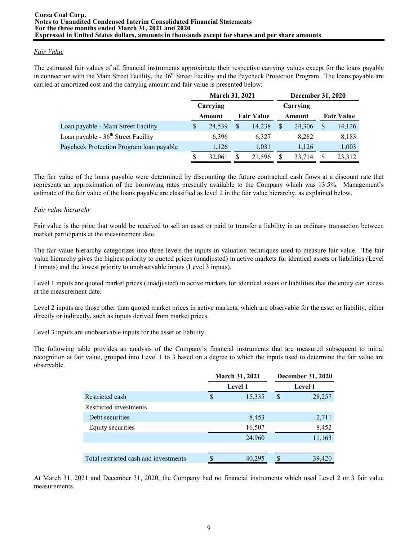## *Fair Value*

The estimated fair values of all financial instruments approximate their respective carrying values except for the loans payable in connection with the Main Street Facility, the 36<sup>th</sup> Street Facility and the Paycheck Protection Program. The loans payable are carried at amortized cost and the carrying amount and fair value is presented below:

|                                                 | <b>March 31, 2021</b> |          |   |                   |          | <b>December 31, 2020</b> |        |  |
|-------------------------------------------------|-----------------------|----------|---|-------------------|----------|--------------------------|--------|--|
|                                                 |                       | Carrying |   |                   | Carrying |                          |        |  |
|                                                 |                       | Amount   |   | <b>Fair Value</b> | Amount   | <b>Fair Value</b>        |        |  |
| Loan payable - Main Street Facility             | S                     | 24,539   | S | 14,238            | 24.306   | S                        | 14,126 |  |
| Loan payable - 36 <sup>th</sup> Street Facility |                       | 6.396    |   | 6,327             | 8,282    |                          | 8,183  |  |
| Paycheck Protection Program loan payable        |                       | 1,126    |   | 1,031             | 1,126    |                          | 1,003  |  |
|                                                 |                       | 32.061   | S | 21.596            | 33,714   | S                        | 23,312 |  |

The fair value of the loans payable were determined by discounting the future contractual cash flows at a discount rate that represents an approximation of the borrowing rates presently available to the Company which was 13.5%. Management's estimate of the fair value of the loans payable are classified as level 2 in the fair value hierarchy, as explained below.

#### *Fair value hierarchy*

Fair value is the price that would be received to sell an asset or paid to transfer a liability in an ordinary transaction between market participants at the measurement date.

The fair value hierarchy categorizes into three levels the inputs in valuation techniques used to measure fair value. The fair value hierarchy gives the highest priority to quoted prices (unadjusted) in active markets for identical assets or liabilities (Level 1 inputs) and the lowest priority to unobservable inputs (Level 3 inputs).

Level 1 inputs are quoted market prices (unadjusted) in active markets for identical assets or liabilities that the entity can access at the measurement date.

Level 2 inputs are those other than quoted market prices in active markets, which are observable for the asset or liability, either directly or indirectly, such as inputs derived from market prices.

Level 3 inputs are unobservable inputs for the asset or liability.

The following table provides an analysis of the Company's financial instruments that are measured subsequent to initial recognition at fair value, grouped into Level 1 to 3 based on a degree to which the inputs used to determine the fair value are observable.

|                                       |   | <b>March 31, 2021</b> | <b>December 31, 2020</b> |
|---------------------------------------|---|-----------------------|--------------------------|
|                                       |   | <b>Level 1</b>        | <b>Level 1</b>           |
| Restricted cash                       | S | 15,335                | \$<br>28,257             |
| Restricted investments                |   |                       |                          |
| Debt securities                       |   | 8,453                 | 2,711                    |
| Equity securities                     |   | 16,507                | 8,452                    |
|                                       |   | 24,960                | 11,163                   |
|                                       |   |                       |                          |
| Total restricted cash and investments |   | 40,295                | 39,420                   |

At March 31, 2021 and December 31, 2020, the Company had no financial instruments which used Level 2 or 3 fair value measurements.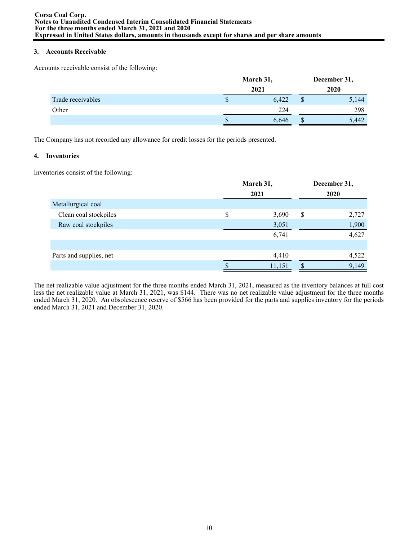## **3. Accounts Receivable**

Accounts receivable consist of the following:

|                   | March 31,   | December 31, |       |  |
|-------------------|-------------|--------------|-------|--|
|                   | 2021        |              | 2020  |  |
| Trade receivables | \$<br>6,422 | Φ            | 5,144 |  |
| Other             | 224         |              | 298   |  |
|                   | 6,646       | J            | 5.442 |  |

The Company has not recorded any allowance for credit losses for the periods presented.

## **4. Inventories**

Inventories consist of the following:

|                         | March 31, |        | December 31, |       |  |  |  |
|-------------------------|-----------|--------|--------------|-------|--|--|--|
|                         |           | 2021   |              |       |  |  |  |
| Metallurgical coal      |           |        |              |       |  |  |  |
| Clean coal stockpiles   | \$        | 3,690  | \$           | 2,727 |  |  |  |
| Raw coal stockpiles     |           | 3,051  |              | 1,900 |  |  |  |
|                         |           | 6,741  |              | 4,627 |  |  |  |
|                         |           |        |              |       |  |  |  |
| Parts and supplies, net |           | 4,410  |              | 4,522 |  |  |  |
|                         |           | 11,151 |              | 9,149 |  |  |  |

The net realizable value adjustment for the three months ended March 31, 2021, measured as the inventory balances at full cost less the net realizable value at March 31, 2021, was \$144. There was no net realizable value adjustment for the three months ended March 31, 2020. An obsolescence reserve of \$566 has been provided for the parts and supplies inventory for the periods ended March 31, 2021 and December 31, 2020.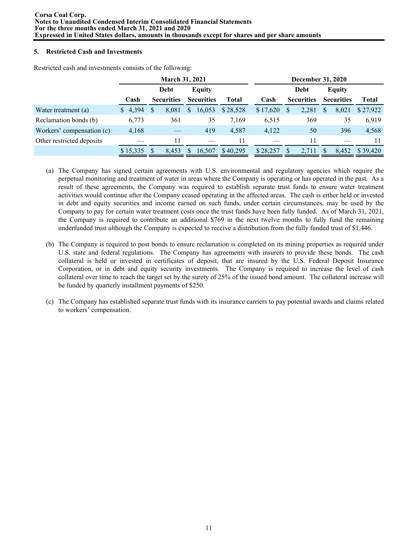# **5. Restricted Cash and Investments**

|                           |          |   |                   | <b>March 31, 2021</b> |                   | December 31, 2020 |          |     |                   |    |                   |              |
|---------------------------|----------|---|-------------------|-----------------------|-------------------|-------------------|----------|-----|-------------------|----|-------------------|--------------|
|                           |          |   | Debt              |                       | Equity            |                   |          |     | Debt              |    | <b>Equity</b>     |              |
|                           | Cash     |   | <b>Securities</b> |                       | <b>Securities</b> | <b>Total</b>      | Cash     |     | <b>Securities</b> |    | <b>Securities</b> | <b>Total</b> |
| Water treatment (a)       | \$4,394  | S | 8.081             | \$                    | 16,053            | \$28,528          | \$17,620 | \$. | 2,281             | S  | 8,021             | \$27,922     |
| Reclamation bonds (b)     | 6,773    |   | 361               |                       | 35                | 7,169             | 6,515    |     | 369               |    | 35                | 6,919        |
| Workers' compensation (c) | 4,168    |   |                   |                       | 419               | 4,587             | 4,122    |     | 50                |    | 396               | 4,568        |
| Other restricted deposits |          |   | 11                |                       |                   | 11                |          |     | 11                |    |                   |              |
|                           | \$15,335 |   | 8,453             | \$.                   | 16,507            | \$40,295          | \$28,257 | \$. | 2.711             | Л. | 8,452             | \$39,420     |

Restricted cash and investments consists of the following:

- (a) The Company has signed certain agreements with U.S. environmental and regulatory agencies which require the perpetual monitoring and treatment of water in areas where the Company is operating or has operated in the past. As a result of these agreements, the Company was required to establish separate trust funds to ensure water treatment activities would continue after the Company ceased operating in the affected areas. The cash is either held or invested in debt and equity securities and income earned on such funds, under certain circumstances, may be used by the Company to pay for certain water treatment costs once the trust funds have been fully funded. As of March 31, 2021, the Company is required to contribute an additional \$769 in the next twelve months to fully fund the remaining underfunded trust although the Company is expected to receive a distribution from the fully funded trust of \$1,446.
- (b) The Company is required to post bonds to ensure reclamation is completed on its mining properties as required under U.S. state and federal regulations. The Company has agreements with insurers to provide these bonds. The cash collateral is held or invested in certificates of deposit, that are insured by the U.S. Federal Deposit Insurance Corporation, or in debt and equity security investments. The Company is required to increase the level of cash collateral over time to reach the target set by the surety of 25% of the issued bond amount. The collateral increase will be funded by quarterly installment payments of \$250.
- (c) The Company has established separate trust funds with its insurance carriers to pay potential awards and claims related to workers' compensation.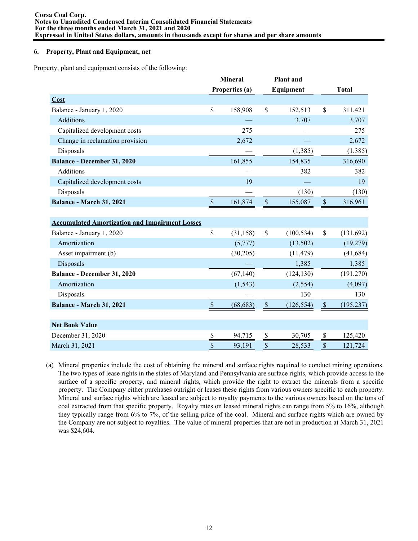#### **6. Property, Plant and Equipment, net**

Property, plant and equipment consists of the following:

|                                                       | <b>Mineral</b>            |                |                           | <b>Plant</b> and |                                   |              |
|-------------------------------------------------------|---------------------------|----------------|---------------------------|------------------|-----------------------------------|--------------|
|                                                       |                           | Properties (a) |                           | Equipment        |                                   | <b>Total</b> |
| Cost                                                  |                           |                |                           |                  |                                   |              |
| Balance - January 1, 2020                             | \$                        | 158,908        | $\mathsf{\$}$             | 152,513          | \$                                | 311,421      |
| Additions                                             |                           |                |                           | 3,707            |                                   | 3,707        |
| Capitalized development costs                         |                           | 275            |                           |                  |                                   | 275          |
| Change in reclamation provision                       |                           | 2,672          |                           |                  |                                   | 2,672        |
| Disposals                                             |                           |                |                           | (1, 385)         |                                   | (1, 385)     |
| <b>Balance - December 31, 2020</b>                    |                           | 161,855        |                           | 154,835          |                                   | 316,690      |
| Additions                                             |                           |                |                           | 382              |                                   | 382          |
| Capitalized development costs                         |                           | 19             |                           |                  |                                   | 19           |
| Disposals                                             |                           |                |                           | (130)            |                                   | (130)        |
| Balance - March 31, 2021                              | $\boldsymbol{\mathsf{S}}$ | 161,874        | $\boldsymbol{\mathsf{S}}$ | 155,087          | $\boldsymbol{\$}$                 | 316,961      |
|                                                       |                           |                |                           |                  |                                   |              |
| <b>Accumulated Amortization and Impairment Losses</b> |                           |                |                           |                  |                                   |              |
| Balance - January 1, 2020                             | \$                        | (31, 158)      | $\mathsf{\$}$             | (100, 534)       | \$                                | (131, 692)   |
| Amortization                                          |                           | (5,777)        |                           | (13,502)         |                                   | (19,279)     |
| Asset impairment (b)                                  |                           | (30,205)       |                           | (11, 479)        |                                   | (41, 684)    |
| Disposals                                             |                           |                |                           | 1,385            |                                   | 1,385        |
| Balance - December 31, 2020                           |                           | (67, 140)      |                           | (124, 130)       |                                   | (191, 270)   |
| Amortization                                          |                           | (1, 543)       |                           | (2, 554)         |                                   | (4,097)      |
| Disposals                                             |                           |                |                           | 130              |                                   | 130          |
| Balance - March 31, 2021                              | $\mathbf{s}$              | (68, 683)      | $\mathsf{\$}$             | (126, 554)       | $\mathcal{S}$                     | (195, 237)   |
|                                                       |                           |                |                           |                  |                                   |              |
| <b>Net Book Value</b>                                 |                           |                |                           |                  |                                   |              |
| December 31, 2020                                     | \$                        | 94,715         | \$                        | 30,705           | $\frac{\mathcal{S}}{\mathcal{S}}$ | 125,420      |
| March 31, 2021                                        | \$                        | 93,191         | \$                        | 28,533           | \$                                | 121,724      |

(a) Mineral properties include the cost of obtaining the mineral and surface rights required to conduct mining operations. The two types of lease rights in the states of Maryland and Pennsylvania are surface rights, which provide access to the surface of a specific property, and mineral rights, which provide the right to extract the minerals from a specific property. The Company either purchases outright or leases these rights from various owners specific to each property. Mineral and surface rights which are leased are subject to royalty payments to the various owners based on the tons of coal extracted from that specific property. Royalty rates on leased mineral rights can range from 5% to 16%, although they typically range from 6% to 7%, of the selling price of the coal. Mineral and surface rights which are owned by the Company are not subject to royalties. The value of mineral properties that are not in production at March 31, 2021 was \$24,604.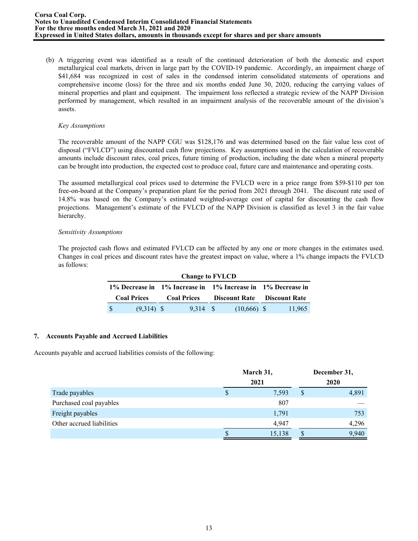(b) A triggering event was identified as a result of the continued deterioration of both the domestic and export metallurgical coal markets, driven in large part by the COVID-19 pandemic. Accordingly, an impairment charge of \$41,684 was recognized in cost of sales in the condensed interim consolidated statements of operations and comprehensive income (loss) for the three and six months ended June 30, 2020, reducing the carrying values of mineral properties and plant and equipment. The impairment loss reflected a strategic review of the NAPP Division performed by management, which resulted in an impairment analysis of the recoverable amount of the division's assets.

#### *Key Assumptions*

The recoverable amount of the NAPP CGU was \$128,176 and was determined based on the fair value less cost of disposal ("FVLCD") using discounted cash flow projections. Key assumptions used in the calculation of recoverable amounts include discount rates, coal prices, future timing of production, including the date when a mineral property can be brought into production, the expected cost to produce coal, future care and maintenance and operating costs.

The assumed metallurgical coal prices used to determine the FVLCD were in a price range from \$59-\$110 per ton free-on-board at the Company's preparation plant for the period from 2021 through 2041. The discount rate used of 14.8% was based on the Company's estimated weighted-average cost of capital for discounting the cash flow projections. Management's estimate of the FVLCD of the NAPP Division is classified as level 3 in the fair value hierarchy.

## *Sensitivity Assumptions*

The projected cash flows and estimated FVLCD can be affected by any one or more changes in the estimates used. Changes in coal prices and discount rates have the greatest impact on value, where a 1% change impacts the FVLCD as follows:

| <b>Change to FVLCD</b> |  |                    |  |               |                                                             |        |  |  |  |  |  |
|------------------------|--|--------------------|--|---------------|-------------------------------------------------------------|--------|--|--|--|--|--|
|                        |  |                    |  |               | 1% Decrease in 1% Increase in 1% Increase in 1% Decrease in |        |  |  |  |  |  |
| <b>Coal Prices</b>     |  | <b>Coal Prices</b> |  |               | <b>Discount Rate</b> Discount Rate                          |        |  |  |  |  |  |
| $(9,314)$ \$           |  | 9.314 S            |  | $(10,666)$ \$ |                                                             | 11,965 |  |  |  |  |  |

## **7. Accounts Payable and Accrued Liabilities**

Accounts payable and accrued liabilities consists of the following:

|                           |   | March 31, |      | December 31, |  |  |
|---------------------------|---|-----------|------|--------------|--|--|
|                           |   | 2021      | 2020 |              |  |  |
| Trade payables            | S | 7,593     | \$   | 4,891        |  |  |
| Purchased coal payables   |   | 807       |      |              |  |  |
| Freight payables          |   | 1,791     |      | 753          |  |  |
| Other accrued liabilities |   | 4.947     |      | 4,296        |  |  |
|                           | S | 15,138    | Ф    | 9,940        |  |  |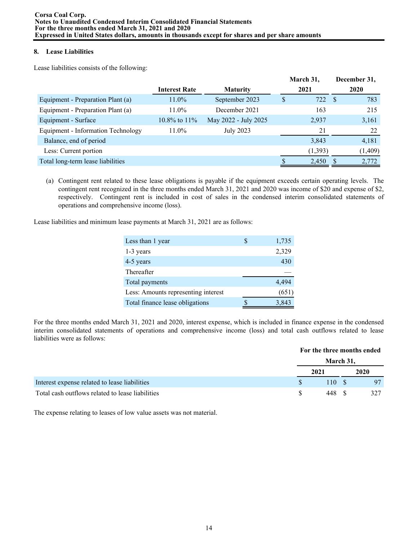# **8. Lease Liabilities**

Lease liabilities consists of the following:

|                                    |                      |                      | March 31, |      | December 31, |  |
|------------------------------------|----------------------|----------------------|-----------|------|--------------|--|
|                                    | <b>Interest Rate</b> | <b>Maturity</b>      | 2021      | 2020 |              |  |
| Equipment - Preparation Plant (a)  | $11.0\%$             | September 2023       | \$<br>722 | - \$ | 783          |  |
| Equipment - Preparation Plant (a)  | $11.0\%$             | December 2021        | 163       |      | 215          |  |
| Equipment - Surface                | $10.8\%$ to $11\%$   | May 2022 - July 2025 | 2,937     |      | 3,161        |  |
| Equipment - Information Technology | $11.0\%$             | <b>July 2023</b>     | 21        |      | 22           |  |
| Balance, end of period             |                      |                      | 3,843     |      | 4,181        |  |
| Less: Current portion              |                      |                      | (1,393)   |      | (1,409)      |  |
| Total long-term lease liabilities  |                      |                      | 2,450     |      | 2,772        |  |

(a) Contingent rent related to these lease obligations is payable if the equipment exceeds certain operating levels. The contingent rent recognized in the three months ended March 31, 2021 and 2020 was income of \$20 and expense of \$2, respectively. Contingent rent is included in cost of sales in the condensed interim consolidated statements of operations and comprehensive income (loss).

Lease liabilities and minimum lease payments at March 31, 2021 are as follows:

| Less than 1 year                    | 1,735 |
|-------------------------------------|-------|
| 1-3 years                           | 2,329 |
| 4-5 years                           | 430   |
| Thereafter                          |       |
| Total payments                      | 4,494 |
| Less: Amounts representing interest | (651) |
| Total finance lease obligations     | 3,843 |

For the three months ended March 31, 2021 and 2020, interest expense, which is included in finance expense in the condensed interim consolidated statements of operations and comprehensive income (loss) and total cash outflows related to lease liabilities were as follows:

|                                                  |      |           | For the three months ended |
|--------------------------------------------------|------|-----------|----------------------------|
|                                                  |      | March 31, |                            |
|                                                  | 2021 |           | 2020                       |
| Interest expense related to lease liabilities    |      | 110       |                            |
| Total cash outflows related to lease liabilities |      | 448       |                            |

The expense relating to leases of low value assets was not material.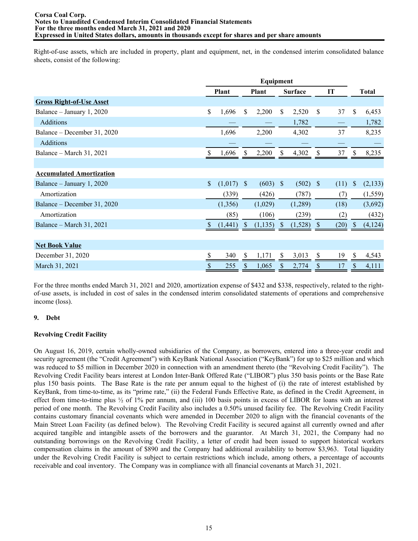Right-of-use assets, which are included in property, plant and equipment, net, in the condensed interim consolidated balance sheets, consist of the following:

|                                 |               |              |               | Equipment    |               |                |               |      |               |              |
|---------------------------------|---------------|--------------|---------------|--------------|---------------|----------------|---------------|------|---------------|--------------|
|                                 |               | <b>Plant</b> |               | <b>Plant</b> |               | <b>Surface</b> |               | IT   |               | <b>Total</b> |
| <b>Gross Right-of-Use Asset</b> |               |              |               |              |               |                |               |      |               |              |
| Balance – January 1, 2020       | \$            | 1,696        | \$            | 2,200        | \$            | 2,520          | S             | 37   | \$            | 6,453        |
| <b>Additions</b>                |               |              |               |              |               | 1,782          |               |      |               | 1,782        |
| Balance – December 31, 2020     |               | 1,696        |               | 2,200        |               | 4,302          |               | 37   |               | 8,235        |
| Additions                       |               |              |               |              |               |                |               |      |               |              |
| Balance – March 31, 2021        | S.            | 1,696        | S             | 2,200        |               | 4,302          |               | 37   |               | 8,235        |
|                                 |               |              |               |              |               |                |               |      |               |              |
| <b>Accumulated Amortization</b> |               |              |               |              |               |                |               |      |               |              |
| Balance – January 1, 2020       | $\mathcal{S}$ | (1,017)      | $\mathbf{s}$  | (603)        | $\mathcal{S}$ | (502)          | <sup>\$</sup> | (11) | \$            | (2,133)      |
| Amortization                    |               | (339)        |               | (426)        |               | (787)          |               | (7)  |               | (1, 559)     |
| Balance – December 31, 2020     |               | (1,356)      |               | (1,029)      |               | (1,289)        |               | (18) |               | (3,692)      |
| Amortization                    |               | (85)         |               | (106)        |               | (239)          |               | (2)  |               | (432)        |
| Balance – March 31, 2021        | Ÿ.            | (1,441)      | \$            | (1,135)      | <sup>S</sup>  | (1,528)        | S             | (20) | <sup>\$</sup> | (4,124)      |
|                                 |               |              |               |              |               |                |               |      |               |              |
| <b>Net Book Value</b>           |               |              |               |              |               |                |               |      |               |              |
| December 31, 2020               |               | 340          | <sup>\$</sup> | 1,171        | \$            | 3,013          | \$            | 19   | \$            | 4,543        |
| March 31, 2021                  | S             | 255          | \$            | 1,065        | \$            | 2,774          | \$            | 17   | \$            | 4,111        |

For the three months ended March 31, 2021 and 2020, amortization expense of \$432 and \$338, respectively, related to the rightof-use assets, is included in cost of sales in the condensed interim consolidated statements of operations and comprehensive income (loss).

## **9. Debt**

## **Revolving Credit Facility**

On August 16, 2019, certain wholly-owned subsidiaries of the Company, as borrowers, entered into a three-year credit and security agreement (the "Credit Agreement") with KeyBank National Association ("KeyBank") for up to \$25 million and which was reduced to \$5 million in December 2020 in connection with an amendment thereto (the "Revolving Credit Facility"). The Revolving Credit Facility bears interest at London Inter-Bank Offered Rate ("LIBOR") plus 350 basis points or the Base Rate plus 150 basis points. The Base Rate is the rate per annum equal to the highest of (i) the rate of interest established by KeyBank, from time-to-time, as its "prime rate," (ii) the Federal Funds Effective Rate, as defined in the Credit Agreement, in effect from time-to-time plus  $\frac{1}{2}$  of 1% per annum, and (iii) 100 basis points in excess of LIBOR for loans with an interest period of one month. The Revolving Credit Facility also includes a 0.50% unused facility fee. The Revolving Credit Facility contains customary financial covenants which were amended in December 2020 to align with the financial covenants of the Main Street Loan Facility (as defined below). The Revolving Credit Facility is secured against all currently owned and after acquired tangible and intangible assets of the borrowers and the guarantor. At March 31, 2021, the Company had no outstanding borrowings on the Revolving Credit Facility, a letter of credit had been issued to support historical workers compensation claims in the amount of \$890 and the Company had additional availability to borrow \$3,963. Total liquidity under the Revolving Credit Facility is subject to certain restrictions which include, among others, a percentage of accounts receivable and coal inventory. The Company was in compliance with all financial covenants at March 31, 2021.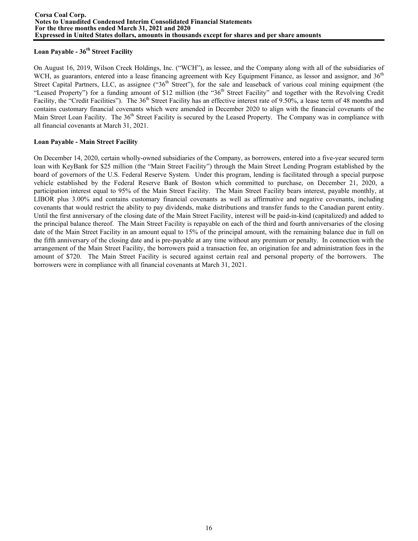## **Loan Payable - 36th Street Facility**

On August 16, 2019, Wilson Creek Holdings, Inc. ("WCH"), as lessee, and the Company along with all of the subsidiaries of WCH, as guarantors, entered into a lease financing agreement with Key Equipment Finance, as lessor and assignor, and 36<sup>th</sup> Street Capital Partners, LLC, as assignee (" $36<sup>th</sup>$  Street"), for the sale and leaseback of various coal mining equipment (the "Leased Property") for a funding amount of \$12 million (the "36<sup>th</sup> Street Facility" and together with the Revolving Credit Facility, the "Credit Facilities"). The 36<sup>th</sup> Street Facility has an effective interest rate of 9.50%, a lease term of 48 months and contains customary financial covenants which were amended in December 2020 to align with the financial covenants of the Main Street Loan Facility. The 36<sup>th</sup> Street Facility is secured by the Leased Property. The Company was in compliance with all financial covenants at March 31, 2021.

# **Loan Payable - Main Street Facility**

On December 14, 2020, certain wholly-owned subsidiaries of the Company, as borrowers, entered into a five-year secured term loan with KeyBank for \$25 million (the "Main Street Facility") through the Main Street Lending Program established by the board of governors of the U.S. Federal Reserve System. Under this program, lending is facilitated through a special purpose vehicle established by the Federal Reserve Bank of Boston which committed to purchase, on December 21, 2020, a participation interest equal to 95% of the Main Street Facility. The Main Street Facility bears interest, payable monthly, at LIBOR plus 3.00% and contains customary financial covenants as well as affirmative and negative covenants, including covenants that would restrict the ability to pay dividends, make distributions and transfer funds to the Canadian parent entity. Until the first anniversary of the closing date of the Main Street Facility, interest will be paid-in-kind (capitalized) and added to the principal balance thereof. The Main Street Facility is repayable on each of the third and fourth anniversaries of the closing date of the Main Street Facility in an amount equal to 15% of the principal amount, with the remaining balance due in full on the fifth anniversary of the closing date and is pre-payable at any time without any premium or penalty. In connection with the arrangement of the Main Street Facility, the borrowers paid a transaction fee, an origination fee and administration fees in the amount of \$720. The Main Street Facility is secured against certain real and personal property of the borrowers. The borrowers were in compliance with all financial covenants at March 31, 2021.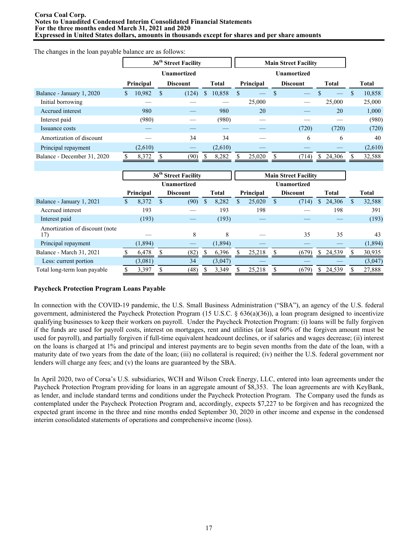#### **Corsa Coal Corp. Notes to Unaudited Condensed Interim Consolidated Financial Statements For the three months ended March 31, 2021 and 2020 Expressed in United States dollars, amounts in thousands except for shares and per share amounts**

|                             |   | 36 <sup>th</sup> Street Facility |               |                 |   |                    |    | <b>Main Street Facility</b> |  |                 |    |        |   |              |
|-----------------------------|---|----------------------------------|---------------|-----------------|---|--------------------|----|-----------------------------|--|-----------------|----|--------|---|--------------|
|                             |   |                                  | Unamortized   |                 |   | <b>Unamortized</b> |    |                             |  |                 |    |        |   |              |
|                             |   | Principal                        |               | <b>Discount</b> |   | Total              |    | Principal                   |  | <b>Discount</b> |    | Total  |   | <b>Total</b> |
| Balance - January 1, 2020   | S | 10,982                           | <sup>\$</sup> | (124)           | S | 10,858             | \$ |                             |  |                 |    |        | S | 10,858       |
| Initial borrowing           |   |                                  |               |                 |   |                    |    | 25,000                      |  |                 |    | 25,000 |   | 25,000       |
| Accrued interest            |   | 980                              |               |                 |   | 980                |    | 20                          |  |                 |    | 20     |   | 1,000        |
| Interest paid               |   | (980)                            |               |                 |   | (980)              |    |                             |  |                 |    |        |   | (980)        |
| Issuance costs              |   |                                  |               |                 |   |                    |    |                             |  | (720)           |    | (720)  |   | (720)        |
| Amortization of discount    |   |                                  |               | 34              |   | 34                 |    |                             |  | 6               |    | 6      |   | 40           |
| Principal repayment         |   | (2,610)                          |               |                 |   | (2,610)            |    |                             |  |                 |    |        |   | (2,610)      |
| Balance - December 31, 2020 |   | 8,372                            |               | (90)            |   | 8,282              |    | 25,020                      |  | (714)           | S. | 24,306 |   | 32,588       |

The changes in the loan payable balance are as follows:

|                                        |   | 36 <sup>th</sup> Street Facility |  |                 |     |              | <b>Main Street Facility</b> |           |   |                 |    |              |    |              |
|----------------------------------------|---|----------------------------------|--|-----------------|-----|--------------|-----------------------------|-----------|---|-----------------|----|--------------|----|--------------|
|                                        |   | <b>Unamortized</b>               |  |                 |     |              | <b>Unamortized</b>          |           |   |                 |    |              |    |              |
|                                        |   | Principal                        |  | <b>Discount</b> |     | <b>Total</b> |                             | Principal |   | <b>Discount</b> |    | <b>Total</b> |    | <b>Total</b> |
| Balance - January 1, 2021              | S | 8,372                            |  | (90)            | \$. | 8,282        | S                           | 25,020    | S | (714)           | S. | 24,306       | S. | 32,588       |
| Accrued interest                       |   | 193                              |  |                 |     | 193          |                             | 198       |   |                 |    | 198          |    | 391          |
| Interest paid                          |   | (193)                            |  |                 |     | (193)        |                             |           |   |                 |    |              |    | (193)        |
| Amortization of discount (note)<br>17) |   |                                  |  | 8               |     | 8            |                             |           |   | 35              |    | 35           |    | 43           |
| Principal repayment                    |   | (1,894)                          |  |                 |     | (1,894)      |                             |           |   |                 |    |              |    | (1, 894)     |
| Balance - March 31, 2021               |   | 6,478                            |  | (82)            |     | 6,396        |                             | 25,218    |   | (679)           |    | \$24,539     |    | 30,935       |
| Less: current portion                  |   | (3,081)                          |  | 34              |     | (3,047)      |                             |           |   |                 |    |              |    | (3,047)      |
| Total long-term loan payable           |   | 3,397                            |  | (48)            |     | 3,349        |                             | 25,218    |   | (679)           |    | 24,539       |    | 27,888       |

## **Paycheck Protection Program Loans Payable**

In connection with the COVID-19 pandemic, the U.S. Small Business Administration ("SBA"), an agency of the U.S. federal government, administered the Paycheck Protection Program (15 U.S.C. § 636(a)(36)), a loan program designed to incentivize qualifying businesses to keep their workers on payroll. Under the Paycheck Protection Program: (i) loans will be fully forgiven if the funds are used for payroll costs, interest on mortgages, rent and utilities (at least 60% of the forgiven amount must be used for payroll), and partially forgiven if full-time equivalent headcount declines, or if salaries and wages decrease; (ii) interest on the loans is charged at 1% and principal and interest payments are to begin seven months from the date of the loan, with a maturity date of two years from the date of the loan; (iii) no collateral is required; (iv) neither the U.S. federal government nor lenders will charge any fees; and (v) the loans are guaranteed by the SBA.

In April 2020, two of Corsa's U.S. subsidiaries, WCH and Wilson Creek Energy, LLC, entered into loan agreements under the Paycheck Protection Program providing for loans in an aggregate amount of \$8,353. The loan agreements are with KeyBank, as lender, and include standard terms and conditions under the Paycheck Protection Program. The Company used the funds as contemplated under the Paycheck Protection Program and, accordingly, expects \$7,227 to be forgiven and has recognized the expected grant income in the three and nine months ended September 30, 2020 in other income and expense in the condensed interim consolidated statements of operations and comprehensive income (loss).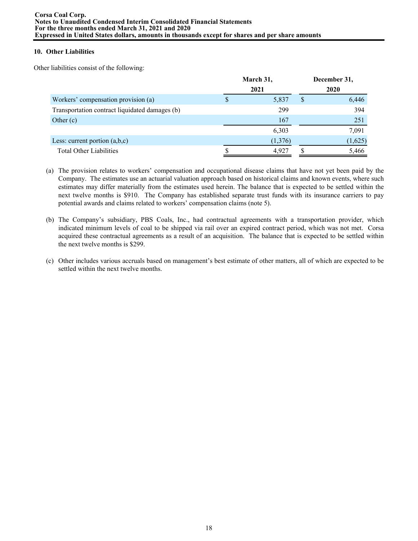# **10. Other Liabilities**

Other liabilities consist of the following:

|                                                | March 31, |         |   | December 31, |
|------------------------------------------------|-----------|---------|---|--------------|
|                                                |           | 2021    |   | 2020         |
| Workers' compensation provision (a)            |           | 5,837   | S | 6,446        |
| Transportation contract liquidated damages (b) |           | 299     |   | 394          |
| Other $(c)$                                    |           | 167     |   | 251          |
|                                                |           | 6,303   |   | 7,091        |
| Less: current portion $(a,b,c)$                |           | (1,376) |   | (1,625)      |
| <b>Total Other Liabilities</b>                 |           | 4,927   |   | 5,466        |

- (a) The provision relates to workers' compensation and occupational disease claims that have not yet been paid by the Company. The estimates use an actuarial valuation approach based on historical claims and known events, where such estimates may differ materially from the estimates used herein. The balance that is expected to be settled within the next twelve months is \$910. The Company has established separate trust funds with its insurance carriers to pay potential awards and claims related to workers' compensation claims (note 5).
- (b) The Company's subsidiary, PBS Coals, Inc., had contractual agreements with a transportation provider, which indicated minimum levels of coal to be shipped via rail over an expired contract period, which was not met. Corsa acquired these contractual agreements as a result of an acquisition. The balance that is expected to be settled within the next twelve months is \$299.
- (c) Other includes various accruals based on management's best estimate of other matters, all of which are expected to be settled within the next twelve months.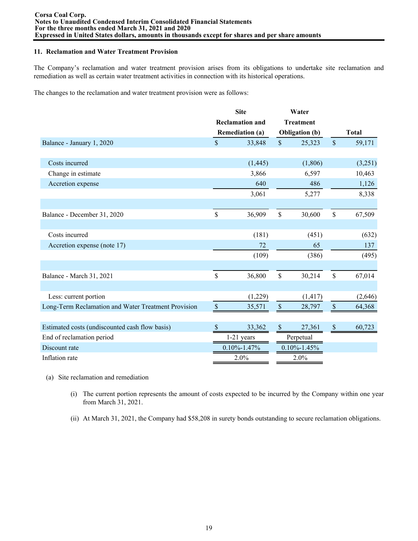#### **11. Reclamation and Water Treatment Provision**

The Company's reclamation and water treatment provision arises from its obligations to undertake site reclamation and remediation as well as certain water treatment activities in connection with its historical operations.

The changes to the reclamation and water treatment provision were as follows:

|                                                     | <b>Site</b>   |                        |                   | Water                 |                           |              |
|-----------------------------------------------------|---------------|------------------------|-------------------|-----------------------|---------------------------|--------------|
|                                                     |               | <b>Reclamation and</b> |                   | <b>Treatment</b>      |                           |              |
|                                                     |               | <b>Remediation (a)</b> |                   | <b>Obligation</b> (b) |                           | <b>Total</b> |
| Balance - January 1, 2020                           | \$            | 33,848                 | $\mathsf{\$}$     | 25,323                | $\mathcal{S}$             | 59,171       |
|                                                     |               |                        |                   |                       |                           |              |
| Costs incurred                                      |               | (1, 445)               |                   | (1,806)               |                           | (3,251)      |
| Change in estimate                                  |               | 3,866                  |                   | 6,597                 |                           | 10,463       |
| Accretion expense                                   |               | 640                    |                   | 486                   |                           | 1,126        |
|                                                     |               | 3,061                  |                   | 5,277                 |                           | 8,338        |
|                                                     |               |                        |                   |                       |                           |              |
| Balance - December 31, 2020                         | \$            | 36,909                 | \$                | 30,600                | \$                        | 67,509       |
|                                                     |               |                        |                   |                       |                           |              |
| Costs incurred                                      |               | (181)                  |                   | (451)                 |                           | (632)        |
| Accretion expense (note 17)                         |               | 72                     |                   | 65                    |                           | 137          |
|                                                     |               | (109)                  |                   | (386)                 |                           | (495)        |
|                                                     |               |                        |                   |                       |                           |              |
| Balance - March 31, 2021                            | \$            | 36,800                 | \$                | 30,214                | \$                        | 67,014       |
|                                                     |               |                        |                   |                       |                           |              |
| Less: current portion                               |               | (1,229)                |                   | (1, 417)              |                           | (2,646)      |
| Long-Term Reclamation and Water Treatment Provision | $\mathcal{S}$ | 35,571                 | $\mathcal{S}$     | 28,797                | $\mathbb S$               | 64,368       |
|                                                     |               |                        |                   |                       |                           |              |
| Estimated costs (undiscounted cash flow basis)      | -S            | 33,362                 | $\mathcal{S}$     | 27,361                | $\boldsymbol{\mathsf{S}}$ | 60,723       |
| End of reclamation period                           |               | $1-21$ years           |                   | Perpetual             |                           |              |
| Discount rate                                       |               | $0.10\% - 1.47\%$      | $0.10\% - 1.45\%$ |                       |                           |              |
| Inflation rate                                      |               | 2.0%                   |                   | 2.0%                  |                           |              |

- (a) Site reclamation and remediation
	- (i) The current portion represents the amount of costs expected to be incurred by the Company within one year from March 31, 2021.
	- (ii) At March 31, 2021, the Company had \$58,208 in surety bonds outstanding to secure reclamation obligations.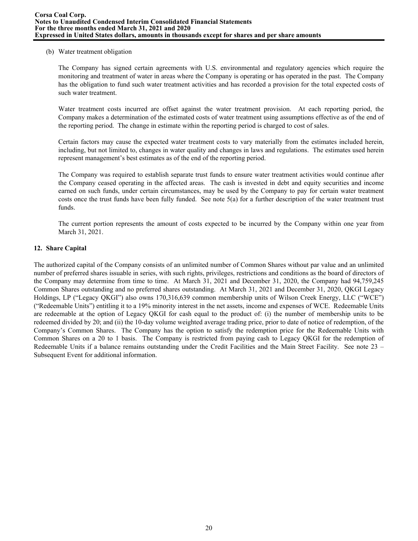#### (b) Water treatment obligation

The Company has signed certain agreements with U.S. environmental and regulatory agencies which require the monitoring and treatment of water in areas where the Company is operating or has operated in the past. The Company has the obligation to fund such water treatment activities and has recorded a provision for the total expected costs of such water treatment.

Water treatment costs incurred are offset against the water treatment provision. At each reporting period, the Company makes a determination of the estimated costs of water treatment using assumptions effective as of the end of the reporting period. The change in estimate within the reporting period is charged to cost of sales.

Certain factors may cause the expected water treatment costs to vary materially from the estimates included herein, including, but not limited to, changes in water quality and changes in laws and regulations. The estimates used herein represent management's best estimates as of the end of the reporting period.

The Company was required to establish separate trust funds to ensure water treatment activities would continue after the Company ceased operating in the affected areas. The cash is invested in debt and equity securities and income earned on such funds, under certain circumstances, may be used by the Company to pay for certain water treatment costs once the trust funds have been fully funded. See note  $5(a)$  for a further description of the water treatment trust funds.

The current portion represents the amount of costs expected to be incurred by the Company within one year from March 31, 2021.

## **12. Share Capital**

The authorized capital of the Company consists of an unlimited number of Common Shares without par value and an unlimited number of preferred shares issuable in series, with such rights, privileges, restrictions and conditions as the board of directors of the Company may determine from time to time. At March 31, 2021 and December 31, 2020, the Company had 94,759,245 Common Shares outstanding and no preferred shares outstanding. At March 31, 2021 and December 31, 2020, QKGI Legacy Holdings, LP ("Legacy QKGI") also owns 170,316,639 common membership units of Wilson Creek Energy, LLC ("WCE") ("Redeemable Units") entitling it to a 19% minority interest in the net assets, income and expenses of WCE. Redeemable Units are redeemable at the option of Legacy QKGI for cash equal to the product of: (i) the number of membership units to be redeemed divided by 20; and (ii) the 10-day volume weighted average trading price, prior to date of notice of redemption, of the Company's Common Shares. The Company has the option to satisfy the redemption price for the Redeemable Units with Common Shares on a 20 to 1 basis. The Company is restricted from paying cash to Legacy QKGI for the redemption of Redeemable Units if a balance remains outstanding under the Credit Facilities and the Main Street Facility. See note 23 – Subsequent Event for additional information.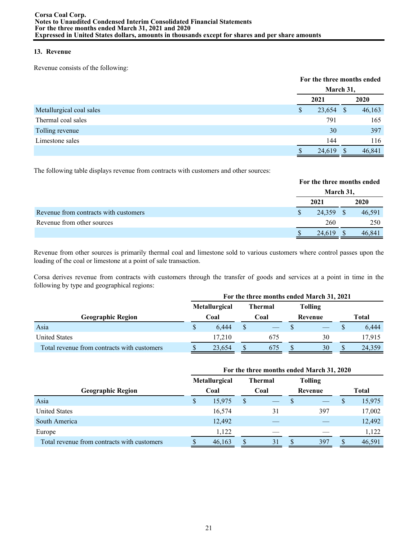# **13. Revenue**

Revenue consists of the following:

|                          | For the three months ended |           |               |        |  |  |
|--------------------------|----------------------------|-----------|---------------|--------|--|--|
|                          |                            | March 31, |               |        |  |  |
|                          |                            | 2021      |               | 2020   |  |  |
| Metallurgical coal sales | S                          | 23,654    | <sup>\$</sup> | 46,163 |  |  |
| Thermal coal sales       |                            | 791       |               | 165    |  |  |
| Tolling revenue          |                            | 30        |               | 397    |  |  |
| Limestone sales          |                            | 144       |               | 116    |  |  |
|                          |                            | 24,619    |               | 46,841 |  |  |

The following table displays revenue from contracts with customers and other sources:

|                                       | For the three months ended |               |        |  |  |
|---------------------------------------|----------------------------|---------------|--------|--|--|
|                                       | March 31,                  |               |        |  |  |
|                                       | 2021                       |               | 2020   |  |  |
| Revenue from contracts with customers | 24,359                     | <sup>\$</sup> | 46,591 |  |  |
| Revenue from other sources            | 260                        |               | 250    |  |  |
|                                       | 24,619                     |               | 46,841 |  |  |

Revenue from other sources is primarily thermal coal and limestone sold to various customers where control passes upon the loading of the coal or limestone at a point of sale transaction.

Corsa derives revenue from contracts with customers through the transfer of goods and services at a point in time in the following by type and geographical regions:

|                                             | For the three months ended March 31, 2021 |                      |      |         |         |                |              |        |
|---------------------------------------------|-------------------------------------------|----------------------|------|---------|---------|----------------|--------------|--------|
|                                             |                                           | <b>Metallurgical</b> |      | Thermal |         | <b>Tolling</b> |              |        |
| <b>Geographic Region</b>                    | Coal                                      |                      | Coal |         | Revenue |                | <b>Total</b> |        |
| Asia                                        | S                                         | 6.444                |      |         |         |                |              | 6,444  |
| <b>United States</b>                        |                                           | 17.210               |      | 675     |         | 30             |              | 17.915 |
| Total revenue from contracts with customers | \$.                                       | 23,654               |      | 675     |         | 30             |              | 24,359 |

|                                             | For the three months ended March 31, 2020 |               |   |                 |                |     |              |        |
|---------------------------------------------|-------------------------------------------|---------------|---|-----------------|----------------|-----|--------------|--------|
|                                             |                                           | Metallurgical |   | <b>Thermal</b>  | <b>Tolling</b> |     |              |        |
| <b>Geographic Region</b>                    |                                           | Coal          |   | Revenue<br>Coal |                |     | <b>Total</b> |        |
| Asia                                        | S                                         | 15,975        | S |                 |                |     | Ъ,           | 15,975 |
| <b>United States</b>                        |                                           | 16,574        |   | 31              |                | 397 |              | 17,002 |
| South America                               |                                           | 12,492        |   |                 |                |     |              | 12,492 |
| Europe                                      |                                           | 1,122         |   |                 |                |     |              | 1,122  |
| Total revenue from contracts with customers |                                           | 46,163        |   | 31              |                | 397 |              | 46,591 |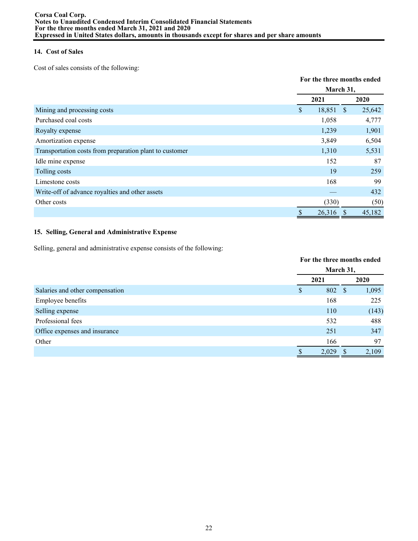# **14. Cost of Sales**

Cost of sales consists of the following:

|                                                         |                                        | For the three months ended |  |  |  |
|---------------------------------------------------------|----------------------------------------|----------------------------|--|--|--|
|                                                         |                                        | March 31,                  |  |  |  |
|                                                         | 2021                                   | 2020                       |  |  |  |
| Mining and processing costs                             | $\boldsymbol{\mathsf{S}}$<br>18,851 \$ | 25,642                     |  |  |  |
| Purchased coal costs                                    | 1,058                                  | 4,777                      |  |  |  |
| Royalty expense                                         | 1,239                                  | 1,901                      |  |  |  |
| Amortization expense                                    | 3,849                                  | 6,504                      |  |  |  |
| Transportation costs from preparation plant to customer | 1,310                                  | 5,531                      |  |  |  |
| Idle mine expense                                       | 152                                    | 87                         |  |  |  |
| Tolling costs                                           | 19                                     | 259                        |  |  |  |
| Limestone costs                                         | 168                                    | 99                         |  |  |  |
| Write-off of advance royalties and other assets         |                                        | 432                        |  |  |  |
| Other costs                                             | (330)                                  | (50)                       |  |  |  |
|                                                         | 26,316                                 | 45,182<br>S                |  |  |  |

# **15. Selling, General and Administrative Expense**

Selling, general and administrative expense consists of the following:

|                                 |      | For the three months ended<br>March 31, |  |       |  |
|---------------------------------|------|-----------------------------------------|--|-------|--|
|                                 |      |                                         |  |       |  |
|                                 | 2021 |                                         |  | 2020  |  |
| Salaries and other compensation | \$   | 802 \$                                  |  | 1,095 |  |
| Employee benefits               |      | 168                                     |  | 225   |  |
| Selling expense                 |      | 110                                     |  | (143) |  |
| Professional fees               |      | 532                                     |  | 488   |  |
| Office expenses and insurance   |      | 251                                     |  | 347   |  |
| Other                           |      | 166                                     |  | 97    |  |
|                                 | S    | 2,029                                   |  | 2,109 |  |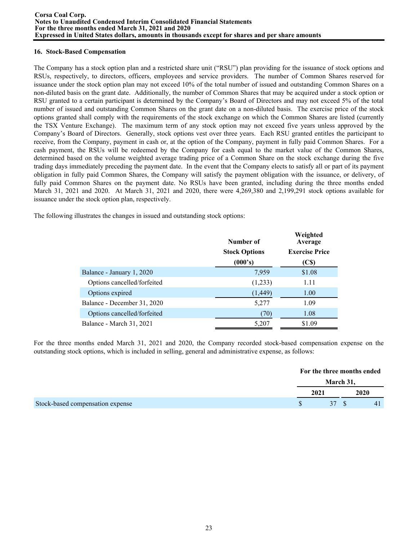#### **Corsa Coal Corp. Notes to Unaudited Condensed Interim Consolidated Financial Statements For the three months ended March 31, 2021 and 2020 Expressed in United States dollars, amounts in thousands except for shares and per share amounts**

#### **16. Stock-Based Compensation**

The Company has a stock option plan and a restricted share unit ("RSU") plan providing for the issuance of stock options and RSUs, respectively, to directors, officers, employees and service providers. The number of Common Shares reserved for issuance under the stock option plan may not exceed 10% of the total number of issued and outstanding Common Shares on a non-diluted basis on the grant date. Additionally, the number of Common Shares that may be acquired under a stock option or RSU granted to a certain participant is determined by the Company's Board of Directors and may not exceed 5% of the total number of issued and outstanding Common Shares on the grant date on a non-diluted basis. The exercise price of the stock options granted shall comply with the requirements of the stock exchange on which the Common Shares are listed (currently the TSX Venture Exchange). The maximum term of any stock option may not exceed five years unless approved by the Company's Board of Directors. Generally, stock options vest over three years. Each RSU granted entitles the participant to receive, from the Company, payment in cash or, at the option of the Company, payment in fully paid Common Shares. For a cash payment, the RSUs will be redeemed by the Company for cash equal to the market value of the Common Shares, determined based on the volume weighted average trading price of a Common Share on the stock exchange during the five trading days immediately preceding the payment date. In the event that the Company elects to satisfy all or part of its payment obligation in fully paid Common Shares, the Company will satisfy the payment obligation with the issuance, or delivery, of fully paid Common Shares on the payment date. No RSUs have been granted, including during the three months ended March 31, 2021 and 2020. At March 31, 2021 and 2020, there were 4,269,380 and 2,199,291 stock options available for issuance under the stock option plan, respectively.

The following illustrates the changes in issued and outstanding stock options:

| Number of            | Weighted<br>Average   |
|----------------------|-----------------------|
| <b>Stock Options</b> | <b>Exercise Price</b> |
| (000's)              | (C\$)                 |
| 7,959                | \$1.08                |
| (1,233)              | 1.11                  |
| (1, 449)             | 1.00                  |
| 5,277                | 1.09                  |
| (70)                 | 1.08                  |
| 5,207                | \$1.09                |
|                      |                       |

For the three months ended March 31, 2021 and 2020, the Company recorded stock-based compensation expense on the outstanding stock options, which is included in selling, general and administrative expense, as follows:

|                                  | For the three months ended |      |
|----------------------------------|----------------------------|------|
|                                  | March 31,                  |      |
|                                  | 2021                       | 2020 |
| Stock-based compensation expense | 37 S                       | 41   |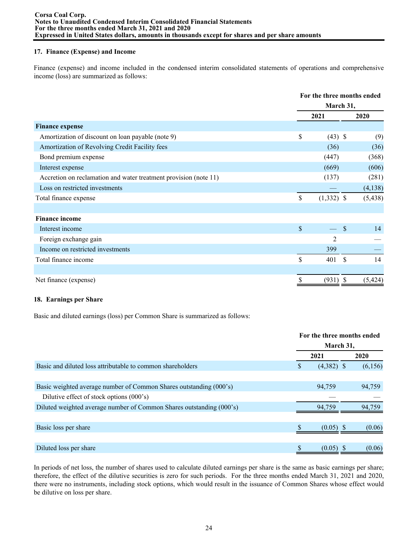## **17. Finance (Expense) and Income**

Finance (expense) and income included in the condensed interim consolidated statements of operations and comprehensive income (loss) are summarized as follows:

|                                                                  | For the three months ended |                     |  |  |
|------------------------------------------------------------------|----------------------------|---------------------|--|--|
|                                                                  | March 31,                  |                     |  |  |
|                                                                  | 2021                       | 2020                |  |  |
| <b>Finance expense</b>                                           |                            |                     |  |  |
| Amortization of discount on loan payable (note 9)                | \$<br>$(43)$ \$            | (9)                 |  |  |
| Amortization of Revolving Credit Facility fees                   | (36)                       | (36)                |  |  |
| Bond premium expense                                             | (447)                      | (368)               |  |  |
| Interest expense                                                 | (669)                      | (606)               |  |  |
| Accretion on reclamation and water treatment provision (note 11) | (137)                      | (281)               |  |  |
| Loss on restricted investments                                   |                            | (4, 138)            |  |  |
| Total finance expense                                            | \$<br>$(1,332)$ \$         | (5, 438)            |  |  |
|                                                                  |                            |                     |  |  |
| <b>Finance income</b>                                            |                            |                     |  |  |
| Interest income                                                  | \$                         | $\mathcal{S}$<br>14 |  |  |
| Foreign exchange gain                                            | 2                          |                     |  |  |
| Income on restricted investments                                 | 399                        |                     |  |  |
| Total finance income                                             | \$<br>-\$<br>401           | 14                  |  |  |
|                                                                  |                            |                     |  |  |
| Net finance (expense)                                            | \$<br>$(931)$ \$           | (5, 424)            |  |  |

## **18. Earnings per Share**

Basic and diluted earnings (loss) per Common Share is summarized as follows:

|                                                                      | For the three months ended |              |  |         |
|----------------------------------------------------------------------|----------------------------|--------------|--|---------|
|                                                                      | March 31,                  |              |  |         |
|                                                                      |                            | 2021         |  | 2020    |
| Basic and diluted loss attributable to common shareholders           | S                          | $(4,382)$ \$ |  | (6,156) |
|                                                                      |                            |              |  |         |
| Basic weighted average number of Common Shares outstanding (000's)   |                            | 94,759       |  | 94,759  |
| Dilutive effect of stock options $(000)$ 's)                         |                            |              |  |         |
| Diluted weighted average number of Common Shares outstanding (000's) |                            | 94.759       |  | 94.759  |
|                                                                      |                            |              |  |         |
| Basic loss per share                                                 |                            | $(0.05)$ \$  |  | (0.06)  |
|                                                                      |                            |              |  |         |
| Diluted loss per share                                               |                            | (0.05)       |  | (0.06)  |

In periods of net loss, the number of shares used to calculate diluted earnings per share is the same as basic earnings per share; therefore, the effect of the dilutive securities is zero for such periods. For the three months ended March 31, 2021 and 2020, there were no instruments, including stock options, which would result in the issuance of Common Shares whose effect would be dilutive on loss per share.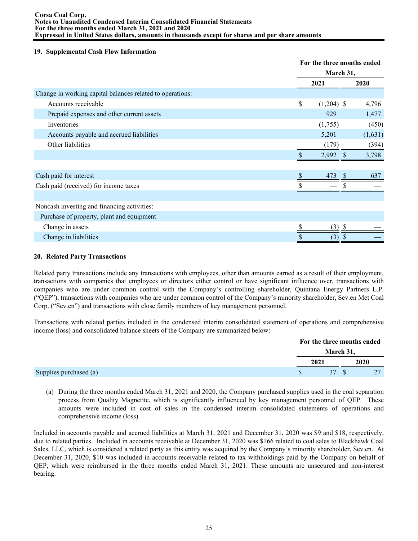#### **Corsa Coal Corp. Notes to Unaudited Condensed Interim Consolidated Financial Statements For the three months ended March 31, 2021 and 2020 Expressed in United States dollars, amounts in thousands except for shares and per share amounts**

#### **19. Supplemental Cash Flow Information**

|                                                           |    | For the three months ended<br>March 31, |         |  |  |
|-----------------------------------------------------------|----|-----------------------------------------|---------|--|--|
|                                                           |    |                                         |         |  |  |
|                                                           |    | 2021                                    | 2020    |  |  |
| Change in working capital balances related to operations: |    |                                         |         |  |  |
| Accounts receivable                                       | \$ | $(1,204)$ \$                            | 4,796   |  |  |
| Prepaid expenses and other current assets                 |    | 929                                     | 1,477   |  |  |
| Inventories                                               |    | (1,755)                                 | (450)   |  |  |
| Accounts payable and accrued liabilities                  |    | 5,201                                   | (1,631) |  |  |
| Other liabilities                                         |    | (179)                                   | (394)   |  |  |
|                                                           |    | 2,992                                   | 3,798   |  |  |
|                                                           |    |                                         |         |  |  |
| Cash paid for interest                                    |    | 473                                     | 637     |  |  |
| Cash paid (received) for income taxes                     |    |                                         |         |  |  |
|                                                           |    |                                         |         |  |  |
| Noncash investing and financing activities:               |    |                                         |         |  |  |
| Purchase of property, plant and equipment                 |    |                                         |         |  |  |
| Change in assets                                          |    | (3)                                     |         |  |  |
| Change in liabilities                                     |    | (3)<br>S                                |         |  |  |

#### **20. Related Party Transactions**

Related party transactions include any transactions with employees, other than amounts earned as a result of their employment, transactions with companies that employees or directors either control or have significant influence over, transactions with companies who are under common control with the Company's controlling shareholder, Quintana Energy Partners L.P. ("QEP"), transactions with companies who are under common control of the Company's minority shareholder, Sev.en Met Coal Corp. ("Sev.en") and transactions with close family members of key management personnel.

Transactions with related parties included in the condensed interim consolidated statement of operations and comprehensive income (loss) and consolidated balance sheets of the Company are summarized below:

|                        |  | For the three months ended |      |  |
|------------------------|--|----------------------------|------|--|
|                        |  | March 31,                  |      |  |
|                        |  | 2021                       | 2020 |  |
| Supplies purchased (a) |  |                            |      |  |

(a) During the three months ended March 31, 2021 and 2020, the Company purchased supplies used in the coal separation process from Quality Magnetite, which is significantly influenced by key management personnel of QEP. These amounts were included in cost of sales in the condensed interim consolidated statements of operations and comprehensive income (loss).

Included in accounts payable and accrued liabilities at March 31, 2021 and December 31, 2020 was \$9 and \$18, respectively, due to related parties. Included in accounts receivable at December 31, 2020 was \$166 related to coal sales to Blackhawk Coal Sales, LLC, which is considered a related party as this entity was acquired by the Company's minority shareholder, Sev.en. At December 31, 2020, \$10 was included in accounts receivable related to tax withholdings paid by the Company on behalf of QEP, which were reimbursed in the three months ended March 31, 2021. These amounts are unsecured and non-interest bearing.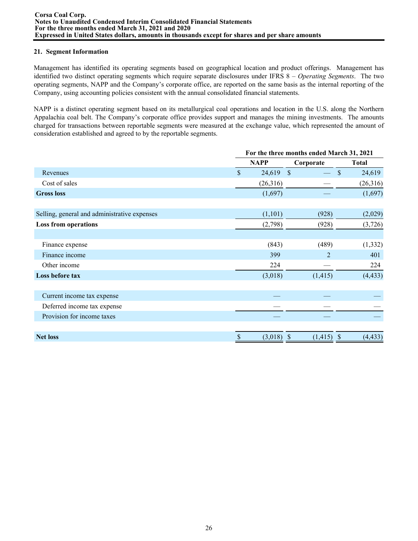## **21. Segment Information**

Management has identified its operating segments based on geographical location and product offerings. Management has identified two distinct operating segments which require separate disclosures under IFRS 8 – *Operating Segments*. The two operating segments, NAPP and the Company's corporate office, are reported on the same basis as the internal reporting of the Company, using accounting policies consistent with the annual consolidated financial statements.

NAPP is a distinct operating segment based on its metallurgical coal operations and location in the U.S. along the Northern Appalachia coal belt. The Company's corporate office provides support and manages the mining investments. The amounts charged for transactions between reportable segments were measured at the exchange value, which represented the amount of consideration established and agreed to by the reportable segments.

|                                              | For the three months ended March 31, 2021 |             |                |                           |  |  |
|----------------------------------------------|-------------------------------------------|-------------|----------------|---------------------------|--|--|
|                                              |                                           | <b>NAPP</b> | Corporate      | <b>Total</b>              |  |  |
| Revenues                                     | $\mathbb{S}$                              | 24,619      | $\mathcal{S}$  | \$<br>24,619              |  |  |
| Cost of sales                                |                                           | (26,316)    |                | (26,316)                  |  |  |
| <b>Gross loss</b>                            |                                           | (1,697)     |                | (1,697)                   |  |  |
| Selling, general and administrative expenses |                                           | (1,101)     | (928)          | (2,029)                   |  |  |
| <b>Loss from operations</b>                  |                                           | (2,798)     | (928)          | (3,726)                   |  |  |
| Finance expense                              |                                           | (843)       | (489)          | (1, 332)                  |  |  |
| Finance income                               |                                           | 399         | $\mathfrak{D}$ | 401                       |  |  |
| Other income                                 |                                           | 224         |                | 224                       |  |  |
| Loss before tax                              |                                           | (3,018)     | (1, 415)       | (4, 433)                  |  |  |
| Current income tax expense                   |                                           |             |                |                           |  |  |
| Deferred income tax expense                  |                                           |             |                |                           |  |  |
| Provision for income taxes                   |                                           |             |                |                           |  |  |
| <b>Net loss</b>                              | \$                                        | (3,018)     | (1, 415)<br>\$ | (4, 433)<br><sup>\$</sup> |  |  |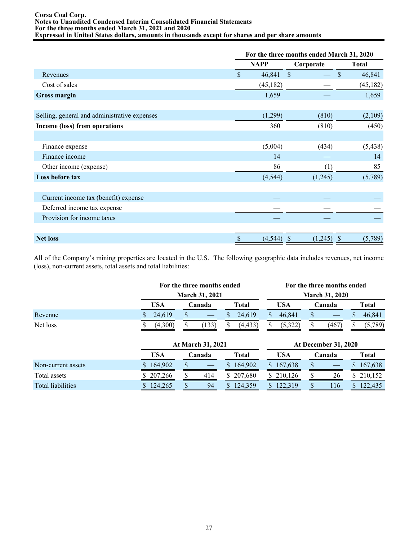#### **Corsa Coal Corp. Notes to Unaudited Condensed Interim Consolidated Financial Statements For the three months ended March 31, 2021 and 2020 Expressed in United States dollars, amounts in thousands except for shares and per share amounts**

|                                              | For the three months ended March 31, 2020 |             |               |                         |  |
|----------------------------------------------|-------------------------------------------|-------------|---------------|-------------------------|--|
|                                              |                                           | <b>NAPP</b> | Corporate     | <b>Total</b>            |  |
| Revenues                                     | $\mathbf S$                               | 46,841      | $\mathcal{S}$ | 46,841<br>\$.           |  |
| Cost of sales                                |                                           | (45, 182)   |               | (45, 182)               |  |
| <b>Gross margin</b>                          |                                           | 1,659       |               | 1,659                   |  |
|                                              |                                           |             |               |                         |  |
| Selling, general and administrative expenses |                                           | (1,299)     | (810)         | (2,109)                 |  |
| Income (loss) from operations                |                                           | 360         | (810)         | (450)                   |  |
|                                              |                                           |             |               |                         |  |
| Finance expense                              |                                           | (5,004)     | (434)         | (5, 438)                |  |
| Finance income                               |                                           | 14          |               | 14                      |  |
| Other income (expense)                       |                                           | 86          | (1)           | 85                      |  |
| Loss before tax                              |                                           | (4, 544)    | (1,245)       | (5,789)                 |  |
|                                              |                                           |             |               |                         |  |
| Current income tax (benefit) expense         |                                           |             |               |                         |  |
| Deferred income tax expense                  |                                           |             |               |                         |  |
| Provision for income taxes                   |                                           |             |               |                         |  |
|                                              |                                           |             |               |                         |  |
| <b>Net loss</b>                              | \$                                        | (4, 544)    | (1,245)<br>S  | (5,789)<br><sup>S</sup> |  |

All of the Company's mining properties are located in the U.S. The following geographic data includes revenues, net income (loss), non-current assets, total assets and total liabilities:

|                    |   | For the three months ended |        |        |              |              |                       | For the three months ended  |        |        |                |              |  |
|--------------------|---|----------------------------|--------|--------|--------------|--------------|-----------------------|-----------------------------|--------|--------|----------------|--------------|--|
|                    |   | <b>March 31, 2021</b>      |        |        |              |              | <b>March 31, 2020</b> |                             |        |        |                |              |  |
|                    |   | <b>USA</b>                 |        | Canada |              | <b>Total</b> |                       | <b>USA</b>                  |        | Canada |                | <b>Total</b> |  |
| Revenue            |   | 24,619                     | S      |        | \$.          | 24,619       |                       | 46,841                      |        |        |                | 46,841       |  |
| Net loss           |   | (4,300)                    |        | (133)  | S            | (4, 433)     | S                     | (5,322)                     |        | (467)  |                | (5,789)      |  |
|                    |   | At March 31, 2021          |        |        |              |              |                       | <b>At December 31, 2020</b> |        |        |                |              |  |
|                    |   | <b>USA</b>                 | Canada |        | <b>Total</b> |              | <b>USA</b>            |                             | Canada |        |                | <b>Total</b> |  |
| Non-current assets | S | 164,902                    | \$     |        | S.           | 164,902      | <sup>S</sup>          | 167,638                     |        |        | $\mathbb{S}^-$ | 167,638      |  |

Total assets \$ 207,266 \$ 414 \$ 207,680 \$ 210,126 \$ 26 \$ 210,152 Total assets<br>
Total liabilities <br>
Total liabilities <br>
Total liabilities <br>
Total liabilities <br>
Total liabilities <br>
Total liabilities <br>
Total liabilities <br>
Total liabilities <br>
Total liabilities <br>
Total liabilities <br>
Total l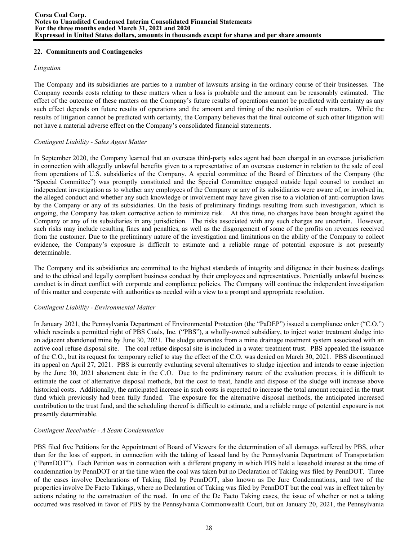## **22. Commitments and Contingencies**

#### *Litigation*

The Company and its subsidiaries are parties to a number of lawsuits arising in the ordinary course of their businesses. The Company records costs relating to these matters when a loss is probable and the amount can be reasonably estimated. The effect of the outcome of these matters on the Company's future results of operations cannot be predicted with certainty as any such effect depends on future results of operations and the amount and timing of the resolution of such matters. While the results of litigation cannot be predicted with certainty, the Company believes that the final outcome of such other litigation will not have a material adverse effect on the Company's consolidated financial statements.

#### *Contingent Liability - Sales Agent Matter*

In September 2020, the Company learned that an overseas third-party sales agent had been charged in an overseas jurisdiction in connection with allegedly unlawful benefits given to a representative of an overseas customer in relation to the sale of coal from operations of U.S. subsidiaries of the Company. A special committee of the Board of Directors of the Company (the "Special Committee") was promptly constituted and the Special Committee engaged outside legal counsel to conduct an independent investigation as to whether any employees of the Company or any of its subsidiaries were aware of, or involved in, the alleged conduct and whether any such knowledge or involvement may have given rise to a violation of anti-corruption laws by the Company or any of its subsidiaries. On the basis of preliminary findings resulting from such investigation, which is ongoing, the Company has taken corrective action to minimize risk. At this time, no charges have been brought against the Company or any of its subsidiaries in any jurisdiction. The risks associated with any such charges are uncertain. However, such risks may include resulting fines and penalties, as well as the disgorgement of some of the profits on revenues received from the customer. Due to the preliminary nature of the investigation and limitations on the ability of the Company to collect evidence, the Company's exposure is difficult to estimate and a reliable range of potential exposure is not presently determinable.

The Company and its subsidiaries are committed to the highest standards of integrity and diligence in their business dealings and to the ethical and legally compliant business conduct by their employees and representatives. Potentially unlawful business conduct is in direct conflict with corporate and compliance policies. The Company will continue the independent investigation of this matter and cooperate with authorities as needed with a view to a prompt and appropriate resolution.

## *Contingent Liability - Environmental Matter*

In January 2021, the Pennsylvania Department of Environmental Protection (the "PaDEP") issued a compliance order ("C.O.") which rescinds a permitted right of PBS Coals, Inc. ("PBS"), a wholly-owned subsidiary, to inject water treatment sludge into an adjacent abandoned mine by June 30, 2021. The sludge emanates from a mine drainage treatment system associated with an active coal refuse disposal site. The coal refuse disposal site is included in a water treatment trust. PBS appealed the issuance of the C.O., but its request for temporary relief to stay the effect of the C.O. was denied on March 30, 2021. PBS discontinued its appeal on April 27, 2021. PBS is currently evaluating several alternatives to sludge injection and intends to cease injection by the June 30, 2021 abatement date in the C.O. Due to the preliminary nature of the evaluation process, it is difficult to estimate the cost of alternative disposal methods, but the cost to treat, handle and dispose of the sludge will increase above historical costs. Additionally, the anticipated increase in such costs is expected to increase the total amount required in the trust fund which previously had been fully funded. The exposure for the alternative disposal methods, the anticipated increased contribution to the trust fund, and the scheduling thereof is difficult to estimate, and a reliable range of potential exposure is not presently determinable.

## *Contingent Receivable - A Seam Condemnation*

PBS filed five Petitions for the Appointment of Board of Viewers for the determination of all damages suffered by PBS, other than for the loss of support, in connection with the taking of leased land by the Pennsylvania Department of Transportation ("PennDOT"). Each Petition was in connection with a different property in which PBS held a leasehold interest at the time of condemnation by PennDOT or at the time when the coal was taken but no Declaration of Taking was filed by PennDOT. Three of the cases involve Declarations of Taking filed by PennDOT, also known as De Jure Condemnations, and two of the properties involve De Facto Takings, where no Declaration of Taking was filed by PennDOT but the coal was in effect taken by actions relating to the construction of the road. In one of the De Facto Taking cases, the issue of whether or not a taking occurred was resolved in favor of PBS by the Pennsylvania Commonwealth Court, but on January 20, 2021, the Pennsylvania